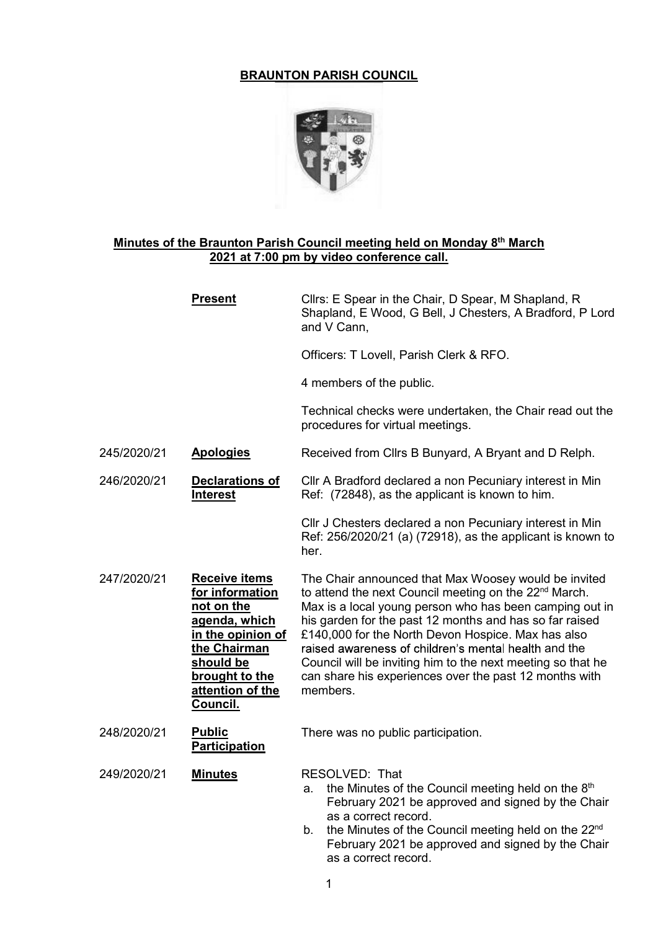## BRAUNTON PARISH COUNCIL



## Minutes of the Braunton Parish Council meeting held on Monday 8th March 2021 at 7:00 pm by video conference call.

|             | <b>Present</b>                                                                                                                                                             | Cllrs: E Spear in the Chair, D Spear, M Shapland, R<br>Shapland, E Wood, G Bell, J Chesters, A Bradford, P Lord<br>and V Cann,                                                                                                                                                                                                                                                                                                                                                                     |
|-------------|----------------------------------------------------------------------------------------------------------------------------------------------------------------------------|----------------------------------------------------------------------------------------------------------------------------------------------------------------------------------------------------------------------------------------------------------------------------------------------------------------------------------------------------------------------------------------------------------------------------------------------------------------------------------------------------|
|             |                                                                                                                                                                            | Officers: T Lovell, Parish Clerk & RFO.                                                                                                                                                                                                                                                                                                                                                                                                                                                            |
|             |                                                                                                                                                                            | 4 members of the public.                                                                                                                                                                                                                                                                                                                                                                                                                                                                           |
|             |                                                                                                                                                                            | Technical checks were undertaken, the Chair read out the<br>procedures for virtual meetings.                                                                                                                                                                                                                                                                                                                                                                                                       |
| 245/2020/21 | <b>Apologies</b>                                                                                                                                                           | Received from Cllrs B Bunyard, A Bryant and D Relph.                                                                                                                                                                                                                                                                                                                                                                                                                                               |
| 246/2020/21 | <b>Declarations of</b><br><b>Interest</b>                                                                                                                                  | Cllr A Bradford declared a non Pecuniary interest in Min<br>Ref: (72848), as the applicant is known to him.                                                                                                                                                                                                                                                                                                                                                                                        |
|             |                                                                                                                                                                            | Cllr J Chesters declared a non Pecuniary interest in Min<br>Ref: 256/2020/21 (a) (72918), as the applicant is known to<br>her.                                                                                                                                                                                                                                                                                                                                                                     |
| 247/2020/21 | <b>Receive items</b><br>for information<br>not on the<br>agenda, which<br>in the opinion of<br>the Chairman<br>should be<br>brought to the<br>attention of the<br>Council. | The Chair announced that Max Woosey would be invited<br>to attend the next Council meeting on the 22 <sup>nd</sup> March.<br>Max is a local young person who has been camping out in<br>his garden for the past 12 months and has so far raised<br>£140,000 for the North Devon Hospice. Max has also<br>raised awareness of children's mental health and the<br>Council will be inviting him to the next meeting so that he<br>can share his experiences over the past 12 months with<br>members. |
| 248/2020/21 | <b>Public</b><br>Participation                                                                                                                                             | There was no public participation.                                                                                                                                                                                                                                                                                                                                                                                                                                                                 |
| 249/2020/21 | <b>Minutes</b>                                                                                                                                                             | RESOLVED: That<br>a. the Minutes of the Council meeting held on the $8th$<br>February 2021 be approved and signed by the Chair<br>as a correct record.<br>b. the Minutes of the Council meeting held on the 22 <sup>nd</sup><br>February 2021 be approved and signed by the Chair<br>as a correct record.                                                                                                                                                                                          |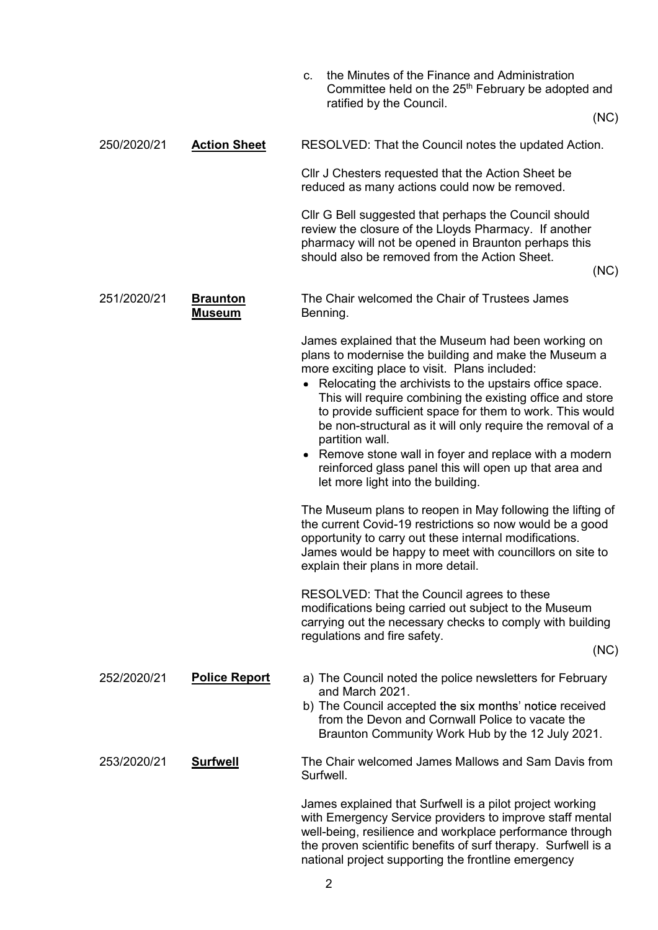|             |                                  | the Minutes of the Finance and Administration<br>$C_{-}$<br>Committee held on the 25 <sup>th</sup> February be adopted and<br>ratified by the Council.<br>(NC)                                                                                                                                                                                                                                                                                                                                                                                                                                |
|-------------|----------------------------------|-----------------------------------------------------------------------------------------------------------------------------------------------------------------------------------------------------------------------------------------------------------------------------------------------------------------------------------------------------------------------------------------------------------------------------------------------------------------------------------------------------------------------------------------------------------------------------------------------|
| 250/2020/21 | <b>Action Sheet</b>              | RESOLVED: That the Council notes the updated Action.                                                                                                                                                                                                                                                                                                                                                                                                                                                                                                                                          |
|             |                                  | Cllr J Chesters requested that the Action Sheet be<br>reduced as many actions could now be removed.                                                                                                                                                                                                                                                                                                                                                                                                                                                                                           |
|             |                                  | Cllr G Bell suggested that perhaps the Council should<br>review the closure of the Lloyds Pharmacy. If another<br>pharmacy will not be opened in Braunton perhaps this<br>should also be removed from the Action Sheet.<br>(NC)                                                                                                                                                                                                                                                                                                                                                               |
| 251/2020/21 | <b>Braunton</b><br><b>Museum</b> | The Chair welcomed the Chair of Trustees James<br>Benning.                                                                                                                                                                                                                                                                                                                                                                                                                                                                                                                                    |
|             |                                  | James explained that the Museum had been working on<br>plans to modernise the building and make the Museum a<br>more exciting place to visit. Plans included:<br>• Relocating the archivists to the upstairs office space.<br>This will require combining the existing office and store<br>to provide sufficient space for them to work. This would<br>be non-structural as it will only require the removal of a<br>partition wall.<br>• Remove stone wall in foyer and replace with a modern<br>reinforced glass panel this will open up that area and<br>let more light into the building. |
|             |                                  | The Museum plans to reopen in May following the lifting of<br>the current Covid-19 restrictions so now would be a good<br>opportunity to carry out these internal modifications.<br>James would be happy to meet with councillors on site to<br>explain their plans in more detail.                                                                                                                                                                                                                                                                                                           |
|             |                                  | RESOLVED: That the Council agrees to these<br>modifications being carried out subject to the Museum<br>carrying out the necessary checks to comply with building<br>regulations and fire safety.                                                                                                                                                                                                                                                                                                                                                                                              |
|             |                                  | (NC)                                                                                                                                                                                                                                                                                                                                                                                                                                                                                                                                                                                          |
| 252/2020/21 | <b>Police Report</b>             | a) The Council noted the police newsletters for February<br>and March 2021.<br>b) The Council accepted the six months' notice received<br>from the Devon and Cornwall Police to vacate the<br>Braunton Community Work Hub by the 12 July 2021.                                                                                                                                                                                                                                                                                                                                                |
| 253/2020/21 | <b>Surfwell</b>                  | The Chair welcomed James Mallows and Sam Davis from<br>Surfwell.                                                                                                                                                                                                                                                                                                                                                                                                                                                                                                                              |
|             |                                  | James explained that Surfwell is a pilot project working<br>with Emergency Service providers to improve staff mental<br>well-being, resilience and workplace performance through<br>the proven scientific benefits of surf therapy. Surfwell is a                                                                                                                                                                                                                                                                                                                                             |

national project supporting the frontline emergency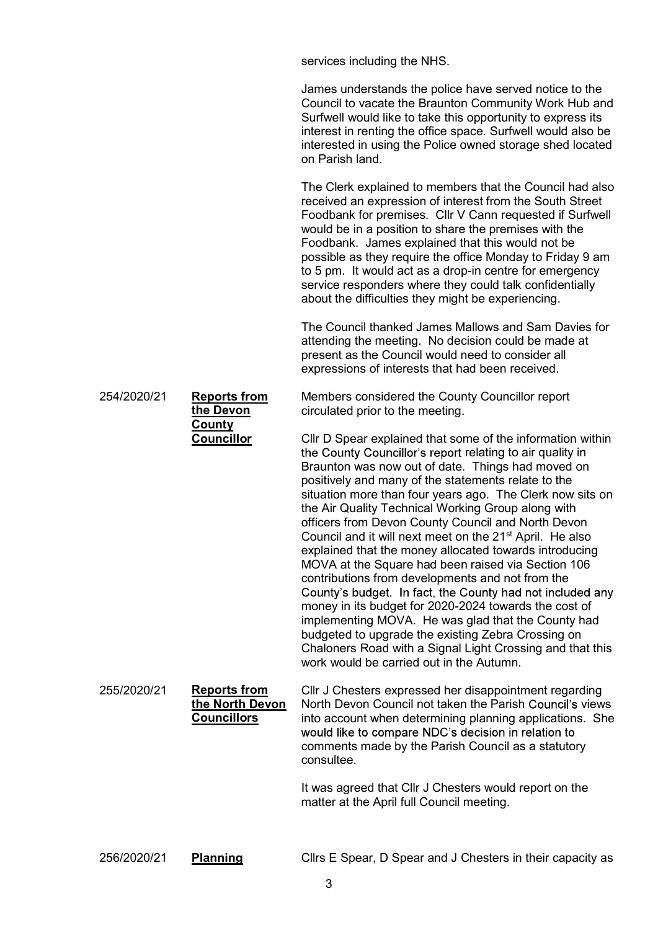services including the NHS.

James understands the police have served notice to the Council to vacate the Braunton Community Work Hub and Surfwell would like to take this opportunity to express its interest in renting the office space. Surfwell would also be interested in using the Police owned storage shed located on Parish land.

The Clerk explained to members that the Council had also received an expression of interest from the South Street Foodbank for premises. Cllr V Cann requested if Surfwell would be in a position to share the premises with the Foodbank. James explained that this would not be possible as they require the office Monday to Friday 9 am to 5 pm. It would act as a drop-in centre for emergency service responders where they could talk confidentially about the difficulties they might be experiencing.

The Council thanked James Mallows and Sam Davies for attending the meeting. No decision could be made at present as the Council would need to consider all expressions of interests that had been received.

254/2020/21 Reports from the Devon **County Councillor** Members considered the County Councillor report circulated prior to the meeting.

Cllr D Spear explained that some of the information within the County Councillor's report relating to air quality in Braunton was now out of date. Things had moved on positively and many of the statements relate to the situation more than four years ago. The Clerk now sits on the Air Quality Technical Working Group along with officers from Devon County Council and North Devon Council and it will next meet on the 21<sup>st</sup> April. He also explained that the money allocated towards introducing MOVA at the Square had been raised via Section 106 contributions from developments and not from the County's budget. In fact, the County had not included any money in its budget for 2020-2024 towards the cost of implementing MOVA. He was glad that the County had budgeted to upgrade the existing Zebra Crossing on Chaloners Road with a Signal Light Crossing and that this work would be carried out in the Autumn.

255/2020/21 Reports from Cllr J Chesters expressed her disappointment regarding the North Devon North Devon Council not taken the Parish Council's views **Councillors** into account when determining planning applications. She would like to compare NDC's decision in relation to comments made by the Parish Council as a statutory consultee. It was agreed that Cllr J Chesters would report on the matter at the April full Council meeting.

256/2020/21 Planning Cllrs E Spear, D Spear and J Chesters in their capacity as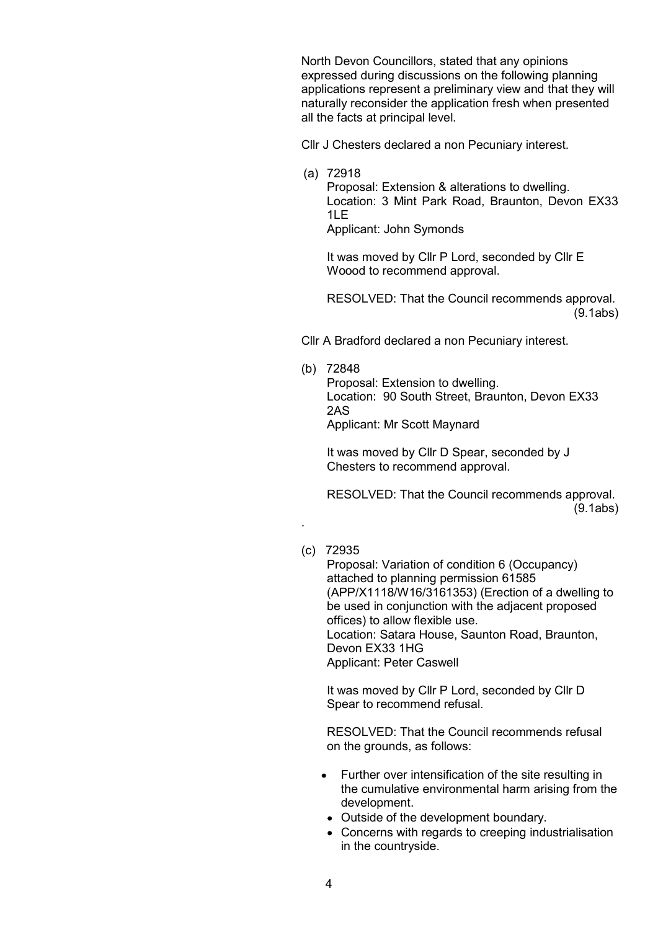North Devon Councillors, stated that any opinions expressed during discussions on the following planning applications represent a preliminary view and that they will naturally reconsider the application fresh when presented all the facts at principal level.

Cllr J Chesters declared a non Pecuniary interest.

(a) 72918

Proposal: Extension & alterations to dwelling. Location: 3 Mint Park Road, Braunton, Devon EX33 1LE

Applicant: John Symonds

It was moved by Cllr P Lord, seconded by Cllr E Woood to recommend approval.

RESOLVED: That the Council recommends approval. (9.1abs)

Cllr A Bradford declared a non Pecuniary interest.

(b) 72848

Proposal: Extension to dwelling. Location: 90 South Street, Braunton, Devon EX33 2AS Applicant: Mr Scott Maynard

It was moved by Cllr D Spear, seconded by J Chesters to recommend approval.

RESOLVED: That the Council recommends approval. (9.1abs)

. (c) 72935

Proposal: Variation of condition 6 (Occupancy) attached to planning permission 61585 (APP/X1118/W16/3161353) (Erection of a dwelling to be used in conjunction with the adjacent proposed offices) to allow flexible use. Location: Satara House, Saunton Road, Braunton, Devon EX33 1HG Applicant: Peter Caswell

It was moved by Cllr P Lord, seconded by Cllr D Spear to recommend refusal.

RESOLVED: That the Council recommends refusal on the grounds, as follows:

- Further over intensification of the site resulting in the cumulative environmental harm arising from the development.
- Outside of the development boundary.
- Concerns with regards to creeping industrialisation in the countryside.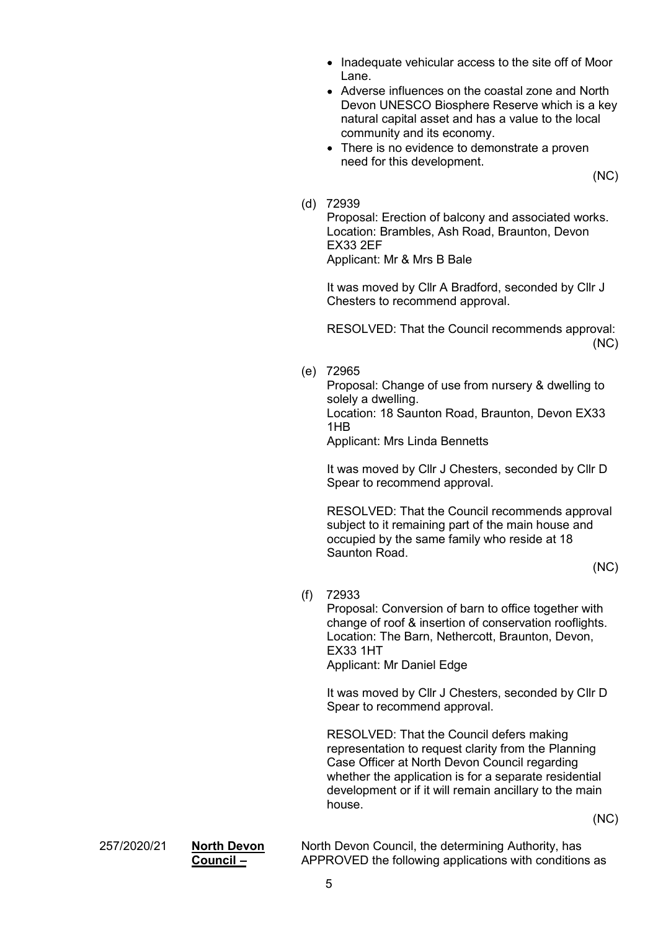- Inadequate vehicular access to the site off of Moor Lane.
- Adverse influences on the coastal zone and North Devon UNESCO Biosphere Reserve which is a key natural capital asset and has a value to the local community and its economy.
- There is no evidence to demonstrate a proven need for this development.

(NC)

(d) 72939

Proposal: Erection of balcony and associated works. Location: Brambles, Ash Road, Braunton, Devon EX33 2EF Applicant: Mr & Mrs B Bale

It was moved by Cllr A Bradford, seconded by Cllr J Chesters to recommend approval.

RESOLVED: That the Council recommends approval: (NC)

(e) 72965

Proposal: Change of use from nursery & dwelling to solely a dwelling. Location: 18 Saunton Road, Braunton, Devon EX33 1HB

Applicant: Mrs Linda Bennetts

It was moved by Cllr J Chesters, seconded by Cllr D Spear to recommend approval.

RESOLVED: That the Council recommends approval subject to it remaining part of the main house and occupied by the same family who reside at 18 Saunton Road.

(NC)

(f) 72933

Proposal: Conversion of barn to office together with change of roof & insertion of conservation rooflights. Location: The Barn, Nethercott, Braunton, Devon, EX33 1HT

Applicant: Mr Daniel Edge

It was moved by Cllr J Chesters, seconded by Cllr D Spear to recommend approval.

RESOLVED: That the Council defers making representation to request clarity from the Planning Case Officer at North Devon Council regarding whether the application is for a separate residential development or if it will remain ancillary to the main house.

(NC)

257/2020/21 North Devon

Council

North Devon Council, the determining Authority, has APPROVED the following applications with conditions as